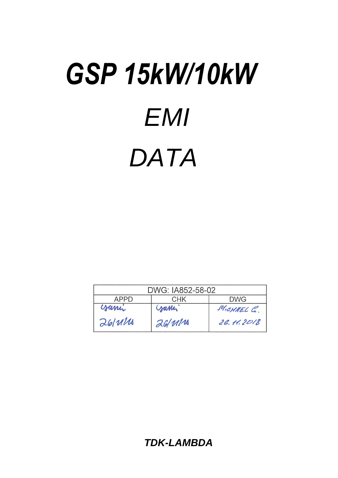# *EMI GSP 15kW/10kW DATA*

| DWG: IA852-58-02 |         |            |
|------------------|---------|------------|
| APPD             | CHK     | DWG.       |
| yumi             | Cramin. | MICHAEL C. |
| 261111           | 26/111  | 26.11.2018 |

*TDK-LAMBDA*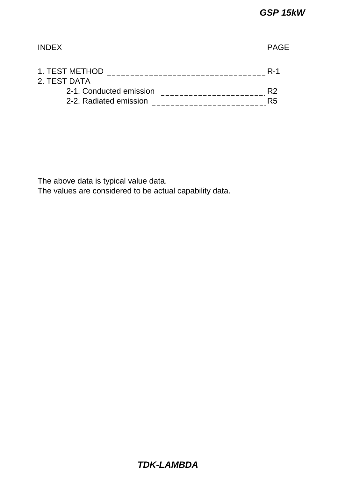| <b>INDEX</b>                   |                |
|--------------------------------|----------------|
| 1. TEST METHOD<br>2. TEST DATA | $R-1$          |
| 2-1. Conducted emission        | R <sub>2</sub> |
| 2-2. Radiated emission         | R <sub>5</sub> |

The above data is typical value data.

The values are considered to be actual capability data.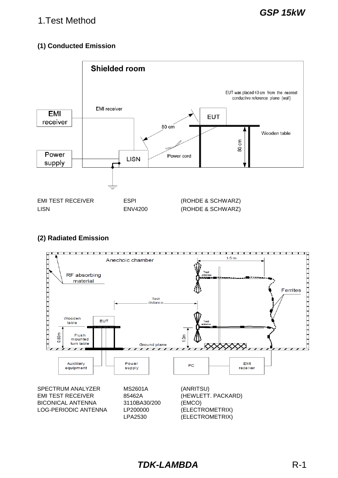# 1.Test Method

## **(1) Conducted Emission**



#### **(2) Radiated Emission**



BICONICAL ANTENNA 3110BA30/200 (EMCO) LOG-PERIODIC ANTENNA LP200000 (ELECTROMETRIX)

LPA2530 (ELECTROMETRIX)

*TDK-LAMBDA* R-1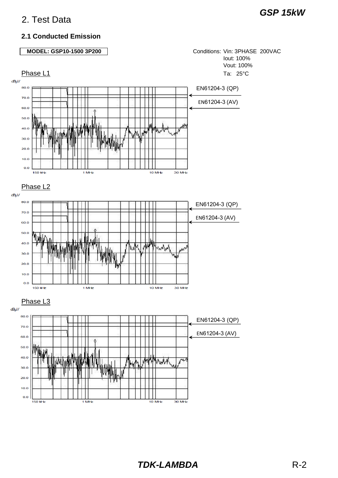#### **2.1 Conducted Emission**

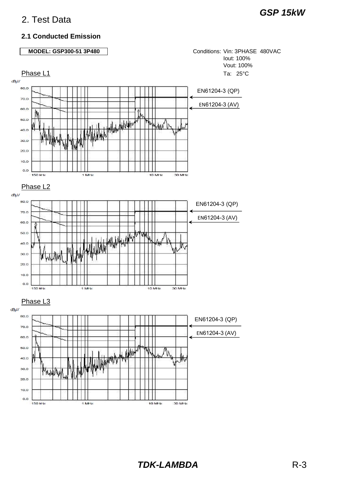#### **2.1 Conducted Emission**

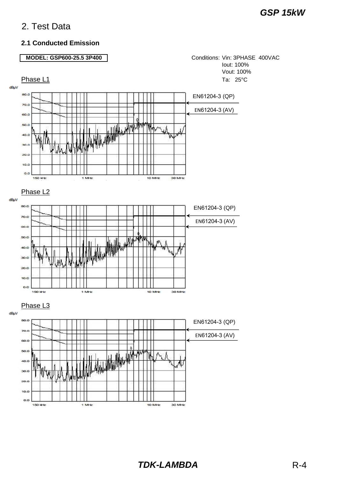**150 Hz** 

1 MHz

#### **2.1 Conducted Emission**

#### **MODEL: GSP600-25.5 3P400**

Conditions: Vin: 3PHASE 400VAC Iout: 100% Vout: 100%



30 MHz

10 MHz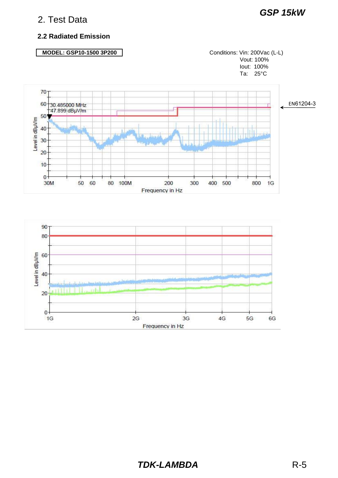# *GSP 15kW*

#### **2.2 Radiated Emission**

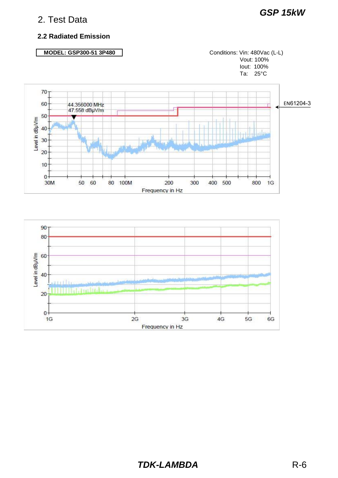# *GSP 15kW*

#### **2.2 Radiated Emission**